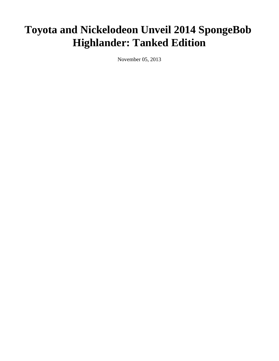## **Toyota and Nickelodeon Unveil 2014 SpongeBob Highlander: Tanked Edition**

November 05, 2013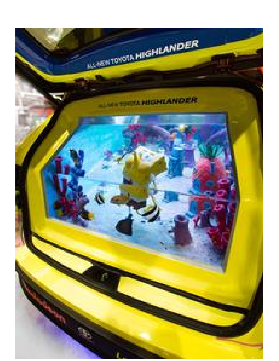